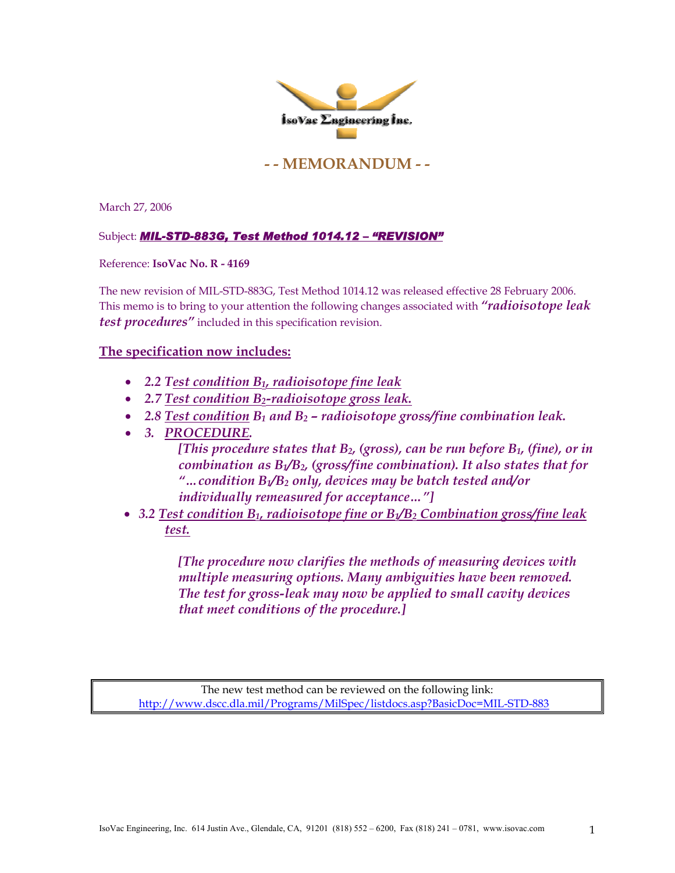

## **- - MEMORANDUM - -**

March 27, 2006

## Subject: *MIL-STD-883G, Test Method 1014.12 – "REVISION"*

Reference: **IsoVac No. R - 4169** 

The new revision of MIL-STD-883G, Test Method 1014.12 was released effective 28 February 2006. This memo is to bring to your attention the following changes associated with *"radioisotope leak test procedures"* included in this specification revision.

## **The specification now includes:**

- *2.2 Test condition B1, radioisotope fine leak*
- *2.7 Test condition B2-radioisotope gross leak.*
- 2.8 Test condition B<sub>1</sub> and B<sub>2</sub> radioisotope gross/fine combination leak.
- *3. PROCEDURE.*

*[This procedure states that B2, (gross), can be run before B1, (fine), or in combination as B1/B2, (gross/fine combination). It also states that for "…condition B1/B2 only, devices may be batch tested and/or individually remeasured for acceptance…"]* 

• *3.2 Test condition B1, radioisotope fine or B1/B2 Combination gross/fine leak test.*

> *[The procedure now clarifies the methods of measuring devices with multiple measuring options. Many ambiguities have been removed. The test for gross-leak may now be applied to small cavity devices that meet conditions of the procedure.]*

The new test method can be reviewed on the following link: <http://www.dscc.dla.mil/Programs/MilSpec/listdocs.asp?BasicDoc=MIL-STD-883>